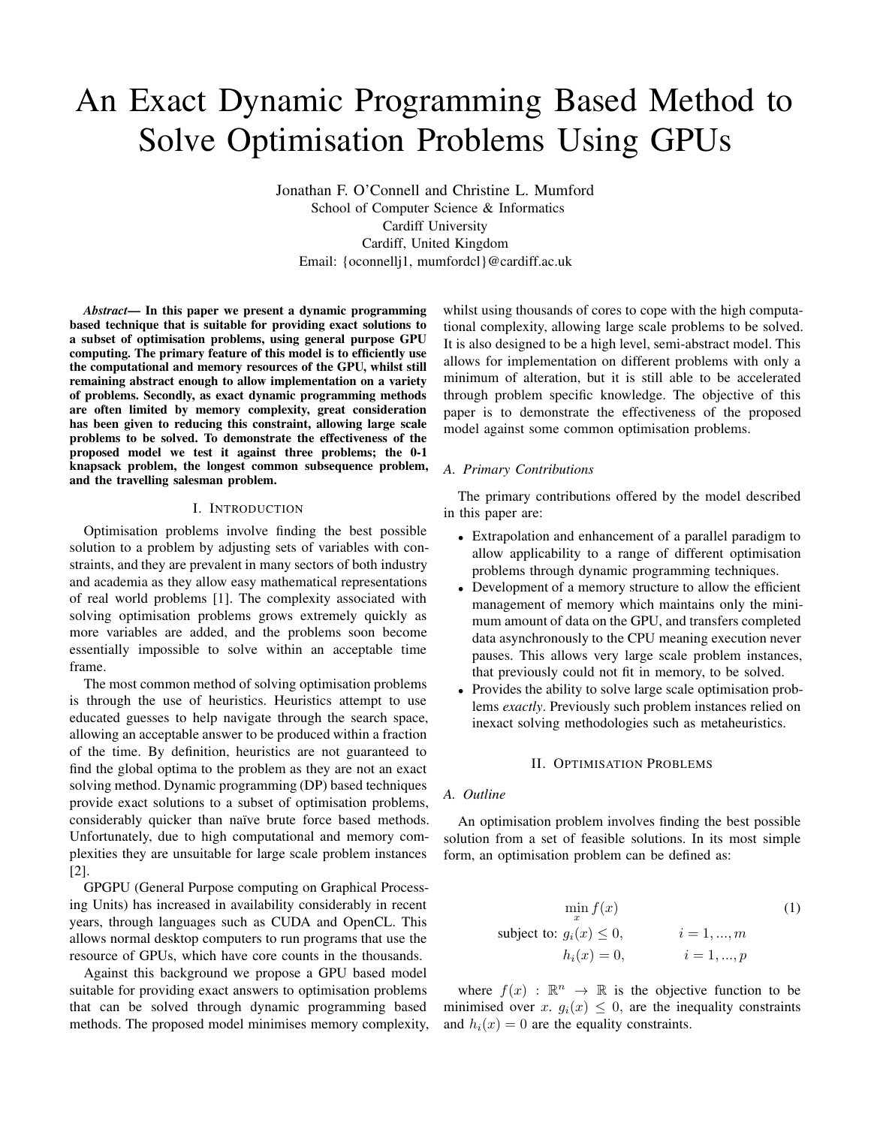# An Exact Dynamic Programming Based Method to Solve Optimisation Problems Using GPUs

Jonathan F. O'Connell and Christine L. Mumford School of Computer Science & Informatics Cardiff University Cardiff, United Kingdom Email: {oconnellj1, mumfordcl}@cardiff.ac.uk

*Abstract***— In this paper we present a dynamic programming based technique that is suitable for providing exact solutions to a subset of optimisation problems, using general purpose GPU computing. The primary feature of this model is to efficiently use the computational and memory resources of the GPU, whilst still remaining abstract enough to allow implementation on a variety of problems. Secondly, as exact dynamic programming methods are often limited by memory complexity, great consideration has been given to reducing this constraint, allowing large scale problems to be solved. To demonstrate the effectiveness of the proposed model we test it against three problems; the 0-1 knapsack problem, the longest common subsequence problem, and the travelling salesman problem.**

## I. INTRODUCTION

Optimisation problems involve finding the best possible solution to a problem by adjusting sets of variables with constraints, and they are prevalent in many sectors of both industry and academia as they allow easy mathematical representations of real world problems [1]. The complexity associated with solving optimisation problems grows extremely quickly as more variables are added, and the problems soon become essentially impossible to solve within an acceptable time frame.

The most common method of solving optimisation problems is through the use of heuristics. Heuristics attempt to use educated guesses to help navigate through the search space, allowing an acceptable answer to be produced within a fraction of the time. By definition, heuristics are not guaranteed to find the global optima to the problem as they are not an exact solving method. Dynamic programming (DP) based techniques provide exact solutions to a subset of optimisation problems, considerably quicker than naïve brute force based methods. Unfortunately, due to high computational and memory complexities they are unsuitable for large scale problem instances [2].

GPGPU (General Purpose computing on Graphical Processing Units) has increased in availability considerably in recent years, through languages such as CUDA and OpenCL. This allows normal desktop computers to run programs that use the resource of GPUs, which have core counts in the thousands.

Against this background we propose a GPU based model suitable for providing exact answers to optimisation problems that can be solved through dynamic programming based methods. The proposed model minimises memory complexity, whilst using thousands of cores to cope with the high computational complexity, allowing large scale problems to be solved. It is also designed to be a high level, semi-abstract model. This allows for implementation on different problems with only a minimum of alteration, but it is still able to be accelerated through problem specific knowledge. The objective of this paper is to demonstrate the effectiveness of the proposed model against some common optimisation problems.

#### *A. Primary Contributions*

The primary contributions offered by the model described in this paper are:

- *•* Extrapolation and enhancement of a parallel paradigm to allow applicability to a range of different optimisation problems through dynamic programming techniques.
- *•* Development of a memory structure to allow the efficient management of memory which maintains only the minimum amount of data on the GPU, and transfers completed data asynchronously to the CPU meaning execution never pauses. This allows very large scale problem instances, that previously could not fit in memory, to be solved.
- Provides the ability to solve large scale optimisation problems *exactly*. Previously such problem instances relied on inexact solving methodologies such as metaheuristics.

#### II. OPTIMISATION PROBLEMS

#### *A. Outline*

An optimisation problem involves finding the best possible solution from a set of feasible solutions. In its most simple form, an optimisation problem can be defined as:

$$
\min_{x} f(x)
$$
\nsubject to:  $g_i(x) \le 0$ ,  $i = 1, ..., m$   
\n $h_i(x) = 0$ ,  $i = 1, ..., p$  (1)

where  $f(x) : \mathbb{R}^n \to \mathbb{R}$  is the objective function to be minimised over *x*.  $g_i(x) \leq 0$ , are the inequality constraints and  $h_i(x) = 0$  are the equality constraints.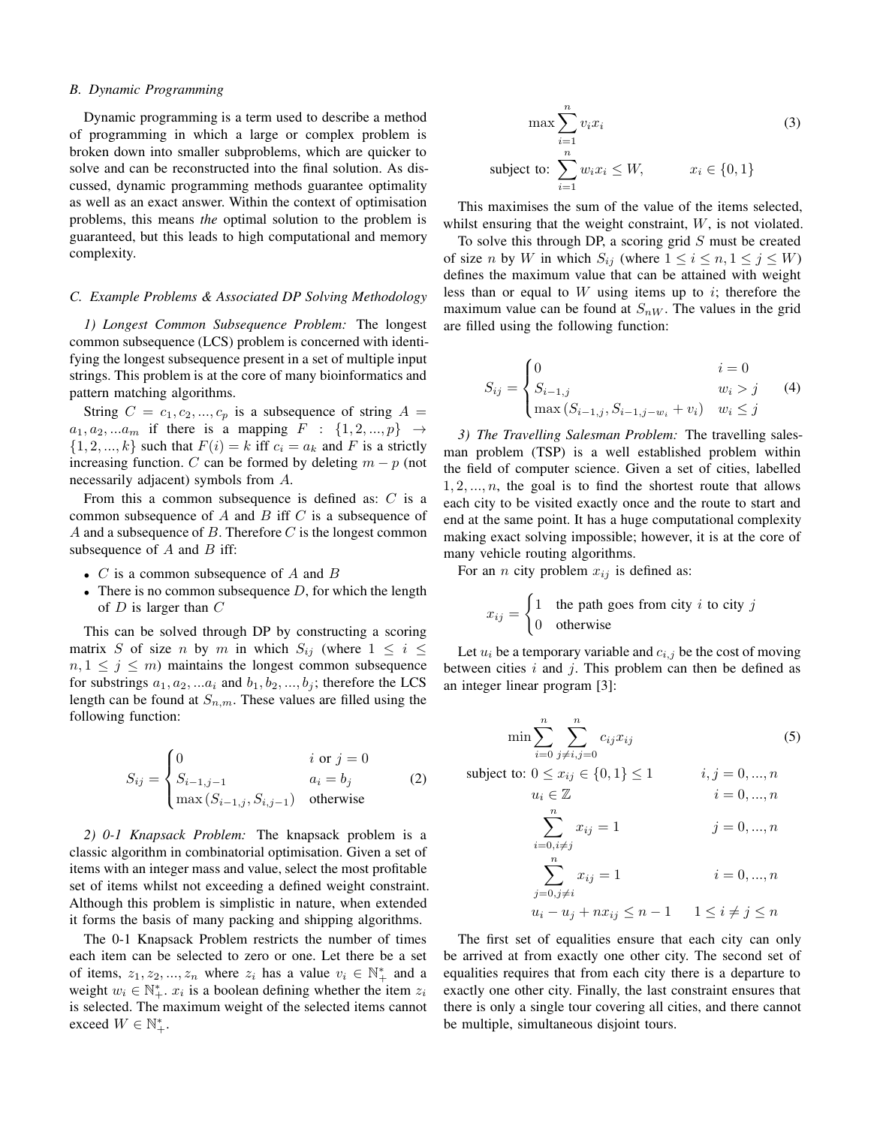#### *B. Dynamic Programming*

Dynamic programming is a term used to describe a method of programming in which a large or complex problem is broken down into smaller subproblems, which are quicker to solve and can be reconstructed into the final solution. As discussed, dynamic programming methods guarantee optimality as well as an exact answer. Within the context of optimisation problems, this means *the* optimal solution to the problem is guaranteed, but this leads to high computational and memory complexity.

## *C. Example Problems & Associated DP Solving Methodology*

*1) Longest Common Subsequence Problem:* The longest common subsequence (LCS) problem is concerned with identifying the longest subsequence present in a set of multiple input strings. This problem is at the core of many bioinformatics and pattern matching algorithms.

String  $C = c_1, c_2, ..., c_p$  is a subsequence of string  $A =$  $a_1, a_2, ... a_m$  if there is a mapping  $F : \{1, 2, ..., p\} \rightarrow$  $\{1, 2, ..., k\}$  such that  $F(i) = k$  iff  $c_i = a_k$  and *F* is a strictly increasing function. *C* can be formed by deleting  $m - p$  (not necessarily adjacent) symbols from *A*.

From this a common subsequence is defined as: *C* is a common subsequence of *A* and *B* iff *C* is a subsequence of *A* and a subsequence of *B*. Therefore *C* is the longest common subsequence of *A* and *B* iff:

- *• C* is a common subsequence of *A* and *B*
- *•* There is no common subsequence *D*, for which the length of *D* is larger than *C*

This can be solved through DP by constructing a scoring matrix *S* of size *n* by *m* in which  $S_{ij}$  (where  $1 \leq i \leq j$  $n, 1 \leq j \leq m$ ) maintains the longest common subsequence for substrings  $a_1, a_2, \ldots a_i$  and  $b_1, b_2, \ldots, b_i$ ; therefore the LCS length can be found at  $S_{n,m}$ . These values are filled using the following function:

$$
S_{ij} = \begin{cases} 0 & i \text{ or } j = 0\\ S_{i-1,j-1} & a_i = b_j\\ \max(S_{i-1,j}, S_{i,j-1}) & \text{otherwise} \end{cases}
$$
 (2)

*2) 0-1 Knapsack Problem:* The knapsack problem is a classic algorithm in combinatorial optimisation. Given a set of items with an integer mass and value, select the most profitable set of items whilst not exceeding a defined weight constraint. Although this problem is simplistic in nature, when extended it forms the basis of many packing and shipping algorithms.

The 0-1 Knapsack Problem restricts the number of times each item can be selected to zero or one. Let there be a set of items,  $z_1, z_2, ..., z_n$  where  $z_i$  has a value  $v_i \in \mathbb{N}_+^*$  and a weight  $w_i \in \mathbb{N}_+^*$ .  $x_i$  is a boolean defining whether the item  $z_i$ is selected. The maximum weight of the selected items cannot exceed  $W \in \mathbb{N}_+^*$ .

$$
\max \sum_{i=1}^{n} v_i x_i
$$
\nsubject to:

\n
$$
\sum_{i=1}^{n} w_i x_i \leq W, \qquad x_i \in \{0, 1\}
$$

This maximises the sum of the value of the items selected, whilst ensuring that the weight constraint, *W*, is not violated.

To solve this through DP, a scoring grid *S* must be created of size *n* by *W* in which  $S_{ij}$  (where  $1 \leq i \leq n, 1 \leq j \leq W$ ) defines the maximum value that can be attained with weight less than or equal to *W* using items up to *i*; therefore the maximum value can be found at  $S_{nW}$ . The values in the grid are filled using the following function:

$$
S_{ij} = \begin{cases} 0 & i = 0\\ S_{i-1,j} & w_i > j\\ \max(S_{i-1,j}, S_{i-1,j-w_i} + v_i) & w_i \le j \end{cases}
$$
 (4)

*3) The Travelling Salesman Problem:* The travelling salesman problem (TSP) is a well established problem within the field of computer science. Given a set of cities, labelled  $1, 2, \ldots, n$ , the goal is to find the shortest route that allows each city to be visited exactly once and the route to start and end at the same point. It has a huge computational complexity making exact solving impossible; however, it is at the core of many vehicle routing algorithms.

For an *n* city problem  $x_{ij}$  is defined as:

$$
x_{ij} = \begin{cases} 1 & \text{the path goes from city } i \text{ to city } j \\ 0 & \text{otherwise} \end{cases}
$$

Let  $u_i$  be a temporary variable and  $c_{i,j}$  be the cost of moving between cities *i* and *j*. This problem can then be defined as an integer linear program [3]:

$$
\min \sum_{i=0}^{n} \sum_{j \neq i, j=0}^{n} c_{ij} x_{ij}
$$
\nsubject to:

\n
$$
0 \leq x_{ij} \in \{0, 1\} \leq 1
$$
\n
$$
u_i \in \mathbb{Z}
$$
\n
$$
i, j = 0, ..., n
$$
\n
$$
\sum_{i=0, i \neq j}^{n} x_{ij} = 1
$$
\n
$$
j = 0, ..., n
$$
\n
$$
\sum_{j=0, j \neq i}^{n} x_{ij} = 1
$$
\n
$$
i = 0, ..., n
$$
\n
$$
i = 0, ..., n
$$
\n
$$
i = 0, ..., n
$$
\n
$$
i = 0, ..., n
$$
\n
$$
u_i - u_j + nx_{ij} \leq n - 1
$$
\n
$$
1 \leq i \neq j \leq n
$$
\n(5)

The first set of equalities ensure that each city can only be arrived at from exactly one other city. The second set of equalities requires that from each city there is a departure to exactly one other city. Finally, the last constraint ensures that there is only a single tour covering all cities, and there cannot be multiple, simultaneous disjoint tours.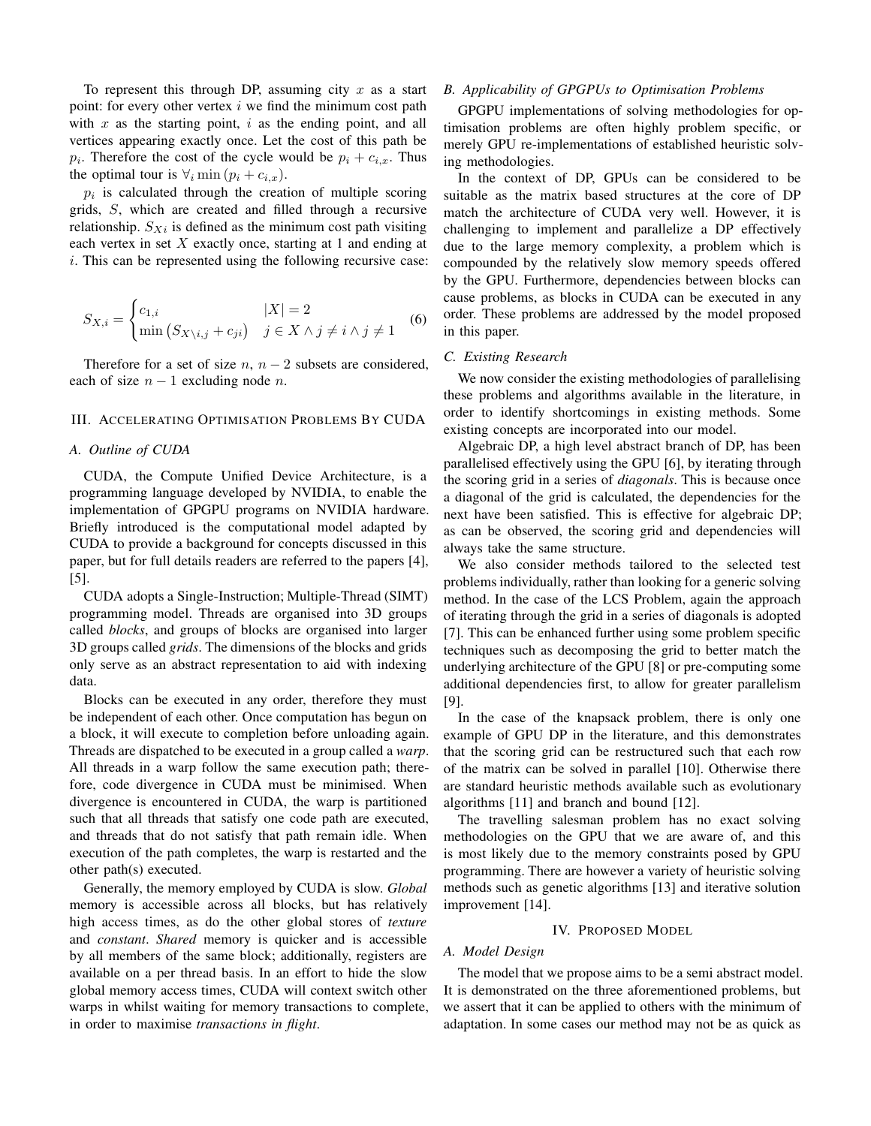To represent this through DP, assuming city *x* as a start point: for every other vertex *i* we find the minimum cost path with *x* as the starting point, *i* as the ending point, and all vertices appearing exactly once. Let the cost of this path be  $p_i$ . Therefore the cost of the cycle would be  $p_i + c_{i,x}$ . Thus the optimal tour is  $\forall$ *i* min ( $p_i + c_{i,x}$ ).

 $p_i$  is calculated through the creation of multiple scoring grids, *S*, which are created and filled through a recursive relationship.  $S_{Xi}$  is defined as the minimum cost path visiting each vertex in set *X* exactly once, starting at 1 and ending at *i*. This can be represented using the following recursive case:

$$
S_{X,i} = \begin{cases} c_{1,i} & |X| = 2\\ \min\left(S_{X\setminus i,j} + c_{ji}\right) & j \in X \land j \neq i \land j \neq 1 \end{cases} \tag{6}
$$

Therefore for a set of size  $n, n-2$  subsets are considered, each of size  $n-1$  excluding node *n*.

## III. ACCELERATING OPTIMISATION PROBLEMS BY CUDA

#### *A. Outline of CUDA*

CUDA, the Compute Unified Device Architecture, is a programming language developed by NVIDIA, to enable the implementation of GPGPU programs on NVIDIA hardware. Briefly introduced is the computational model adapted by CUDA to provide a background for concepts discussed in this paper, but for full details readers are referred to the papers [4], [5].

CUDA adopts a Single-Instruction; Multiple-Thread (SIMT) programming model. Threads are organised into 3D groups called *blocks*, and groups of blocks are organised into larger 3D groups called *grids*. The dimensions of the blocks and grids only serve as an abstract representation to aid with indexing data.

Blocks can be executed in any order, therefore they must be independent of each other. Once computation has begun on a block, it will execute to completion before unloading again. Threads are dispatched to be executed in a group called a *warp*. All threads in a warp follow the same execution path; therefore, code divergence in CUDA must be minimised. When divergence is encountered in CUDA, the warp is partitioned such that all threads that satisfy one code path are executed, and threads that do not satisfy that path remain idle. When execution of the path completes, the warp is restarted and the other path(s) executed.

Generally, the memory employed by CUDA is slow. *Global* memory is accessible across all blocks, but has relatively high access times, as do the other global stores of *texture* and *constant*. *Shared* memory is quicker and is accessible by all members of the same block; additionally, registers are available on a per thread basis. In an effort to hide the slow global memory access times, CUDA will context switch other warps in whilst waiting for memory transactions to complete, in order to maximise *transactions in flight*.

#### *B. Applicability of GPGPUs to Optimisation Problems*

GPGPU implementations of solving methodologies for optimisation problems are often highly problem specific, or merely GPU re-implementations of established heuristic solving methodologies.

In the context of DP, GPUs can be considered to be suitable as the matrix based structures at the core of DP match the architecture of CUDA very well. However, it is challenging to implement and parallelize a DP effectively due to the large memory complexity, a problem which is compounded by the relatively slow memory speeds offered by the GPU. Furthermore, dependencies between blocks can cause problems, as blocks in CUDA can be executed in any order. These problems are addressed by the model proposed in this paper.

### *C. Existing Research*

We now consider the existing methodologies of parallelising these problems and algorithms available in the literature, in order to identify shortcomings in existing methods. Some existing concepts are incorporated into our model.

Algebraic DP, a high level abstract branch of DP, has been parallelised effectively using the GPU [6], by iterating through the scoring grid in a series of *diagonals*. This is because once a diagonal of the grid is calculated, the dependencies for the next have been satisfied. This is effective for algebraic DP; as can be observed, the scoring grid and dependencies will always take the same structure.

We also consider methods tailored to the selected test problems individually, rather than looking for a generic solving method. In the case of the LCS Problem, again the approach of iterating through the grid in a series of diagonals is adopted [7]. This can be enhanced further using some problem specific techniques such as decomposing the grid to better match the underlying architecture of the GPU [8] or pre-computing some additional dependencies first, to allow for greater parallelism [9].

In the case of the knapsack problem, there is only one example of GPU DP in the literature, and this demonstrates that the scoring grid can be restructured such that each row of the matrix can be solved in parallel [10]. Otherwise there are standard heuristic methods available such as evolutionary algorithms [11] and branch and bound [12].

The travelling salesman problem has no exact solving methodologies on the GPU that we are aware of, and this is most likely due to the memory constraints posed by GPU programming. There are however a variety of heuristic solving methods such as genetic algorithms [13] and iterative solution improvement [14].

### IV. PROPOSED MODEL

## *A. Model Design*

The model that we propose aims to be a semi abstract model. It is demonstrated on the three aforementioned problems, but we assert that it can be applied to others with the minimum of adaptation. In some cases our method may not be as quick as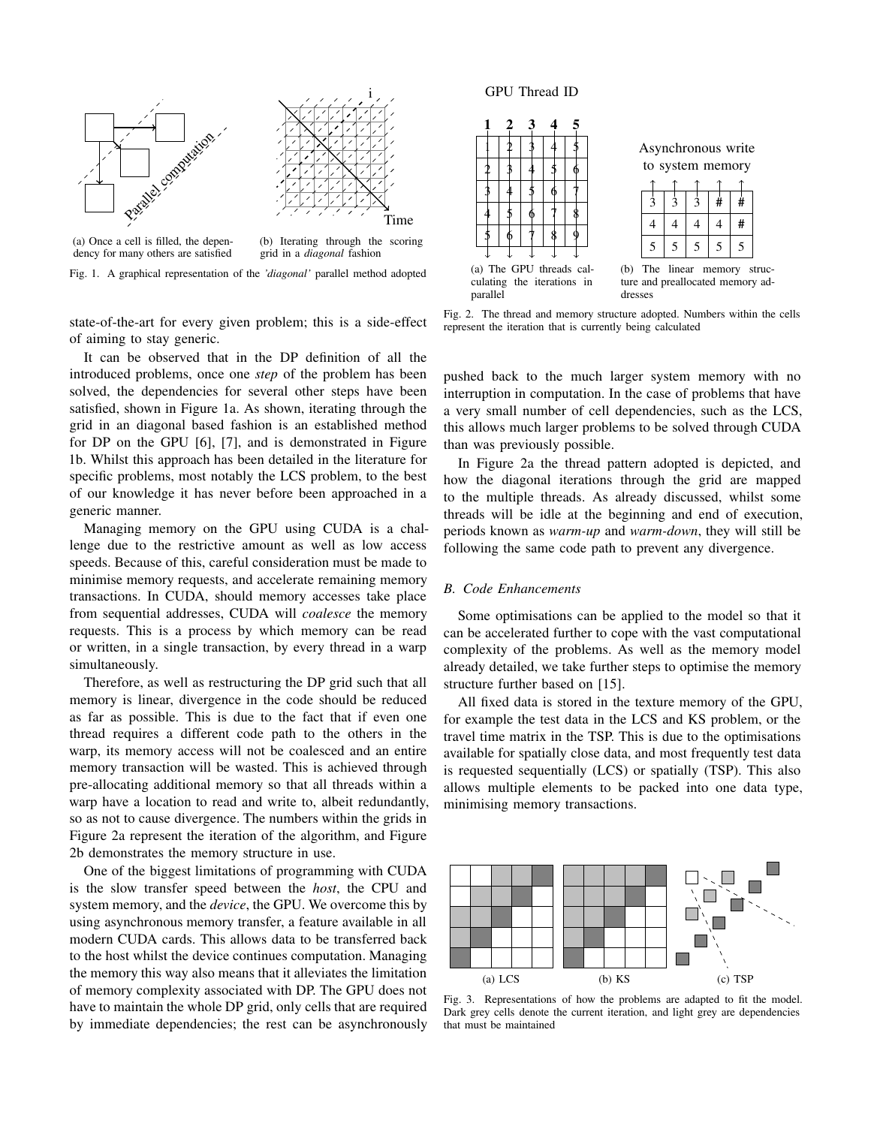

state-of-the-art for every given problem; this is a side-effect of aiming to stay generic.

It can be observed that in the DP definition of all the introduced problems, once one *step* of the problem has been solved, the dependencies for several other steps have been satisfied, shown in Figure 1a. As shown, iterating through the grid in an diagonal based fashion is an established method for DP on the GPU [6], [7], and is demonstrated in Figure 1b. Whilst this approach has been detailed in the literature for specific problems, most notably the LCS problem, to the best of our knowledge it has never before been approached in a generic manner.

Managing memory on the GPU using CUDA is a challenge due to the restrictive amount as well as low access speeds. Because of this, careful consideration must be made to minimise memory requests, and accelerate remaining memory transactions. In CUDA, should memory accesses take place from sequential addresses, CUDA will *coalesce* the memory requests. This is a process by which memory can be read or written, in a single transaction, by every thread in a warp simultaneously.

Therefore, as well as restructuring the DP grid such that all memory is linear, divergence in the code should be reduced as far as possible. This is due to the fact that if even one thread requires a different code path to the others in the warp, its memory access will not be coalesced and an entire memory transaction will be wasted. This is achieved through pre-allocating additional memory so that all threads within a warp have a location to read and write to, albeit redundantly, so as not to cause divergence. The numbers within the grids in Figure 2a represent the iteration of the algorithm, and Figure 2b demonstrates the memory structure in use.

One of the biggest limitations of programming with CUDA is the slow transfer speed between the *host*, the CPU and system memory, and the *device*, the GPU. We overcome this by using asynchronous memory transfer, a feature available in all modern CUDA cards. This allows data to be transferred back to the host whilst the device continues computation. Managing the memory this way also means that it alleviates the limitation of memory complexity associated with DP. The GPU does not have to maintain the whole DP grid, only cells that are required by immediate dependencies; the rest can be asynchronously



Fig. 2. The thread and memory structure adopted. Numbers within the cells represent the iteration that is currently being calculated

pushed back to the much larger system memory with no interruption in computation. In the case of problems that have a very small number of cell dependencies, such as the LCS, this allows much larger problems to be solved through CUDA than was previously possible.

In Figure 2a the thread pattern adopted is depicted, and how the diagonal iterations through the grid are mapped to the multiple threads. As already discussed, whilst some threads will be idle at the beginning and end of execution, periods known as *warm-up* and *warm-down*, they will still be following the same code path to prevent any divergence.

#### *B. Code Enhancements*

Some optimisations can be applied to the model so that it can be accelerated further to cope with the vast computational complexity of the problems. As well as the memory model already detailed, we take further steps to optimise the memory structure further based on [15].

All fixed data is stored in the texture memory of the GPU, for example the test data in the LCS and KS problem, or the travel time matrix in the TSP. This is due to the optimisations available for spatially close data, and most frequently test data is requested sequentially (LCS) or spatially (TSP). This also allows multiple elements to be packed into one data type, minimising memory transactions.



Fig. 3. Representations of how the problems are adapted to fit the model. Dark grey cells denote the current iteration, and light grey are dependencies that must be maintained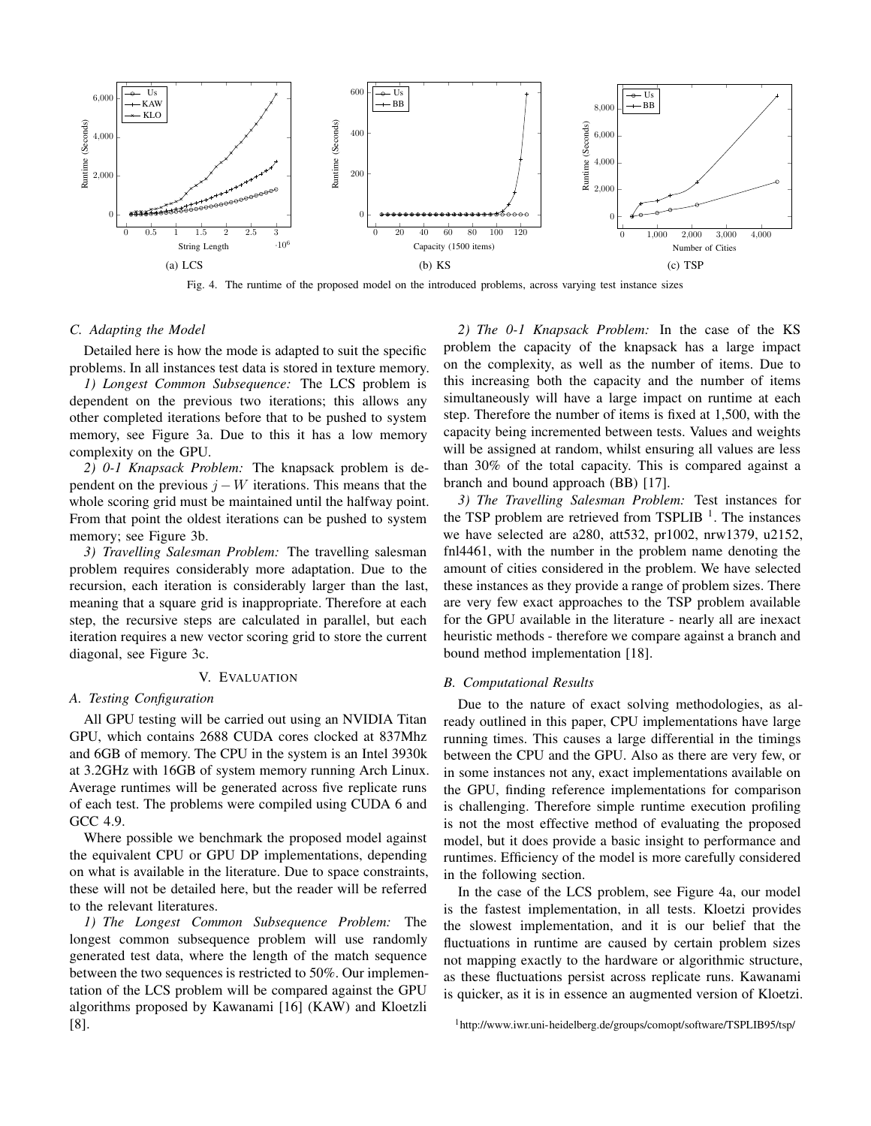

Fig. 4. The runtime of the proposed model on the introduced problems, across varying test instance sizes

## *C. Adapting the Model*

Detailed here is how the mode is adapted to suit the specific problems. In all instances test data is stored in texture memory.

*1) Longest Common Subsequence:* The LCS problem is dependent on the previous two iterations; this allows any other completed iterations before that to be pushed to system memory, see Figure 3a. Due to this it has a low memory complexity on the GPU.

*2) 0-1 Knapsack Problem:* The knapsack problem is dependent on the previous  $j - W$  iterations. This means that the whole scoring grid must be maintained until the halfway point. From that point the oldest iterations can be pushed to system memory; see Figure 3b.

*3) Travelling Salesman Problem:* The travelling salesman problem requires considerably more adaptation. Due to the recursion, each iteration is considerably larger than the last, meaning that a square grid is inappropriate. Therefore at each step, the recursive steps are calculated in parallel, but each iteration requires a new vector scoring grid to store the current diagonal, see Figure 3c.

#### V. EVALUATION

# *A. Testing Configuration*

All GPU testing will be carried out using an NVIDIA Titan GPU, which contains 2688 CUDA cores clocked at 837Mhz and 6GB of memory. The CPU in the system is an Intel 3930k at 3.2GHz with 16GB of system memory running Arch Linux. Average runtimes will be generated across five replicate runs of each test. The problems were compiled using CUDA 6 and GCC 4.9.

Where possible we benchmark the proposed model against the equivalent CPU or GPU DP implementations, depending on what is available in the literature. Due to space constraints, these will not be detailed here, but the reader will be referred to the relevant literatures.

*1) The Longest Common Subsequence Problem:* The longest common subsequence problem will use randomly generated test data, where the length of the match sequence between the two sequences is restricted to 50%. Our implementation of the LCS problem will be compared against the GPU algorithms proposed by Kawanami [16] (KAW) and Kloetzli [8].

*2) The 0-1 Knapsack Problem:* In the case of the KS problem the capacity of the knapsack has a large impact on the complexity, as well as the number of items. Due to this increasing both the capacity and the number of items simultaneously will have a large impact on runtime at each step. Therefore the number of items is fixed at 1,500, with the capacity being incremented between tests. Values and weights will be assigned at random, whilst ensuring all values are less than 30% of the total capacity. This is compared against a branch and bound approach (BB) [17].

*3) The Travelling Salesman Problem:* Test instances for the TSP problem are retrieved from TSPLIB  $<sup>1</sup>$ . The instances</sup> we have selected are a280, att532, pr1002, nrw1379, u2152, fnl4461, with the number in the problem name denoting the amount of cities considered in the problem. We have selected these instances as they provide a range of problem sizes. There are very few exact approaches to the TSP problem available for the GPU available in the literature - nearly all are inexact heuristic methods - therefore we compare against a branch and bound method implementation [18].

#### *B. Computational Results*

Due to the nature of exact solving methodologies, as already outlined in this paper, CPU implementations have large running times. This causes a large differential in the timings between the CPU and the GPU. Also as there are very few, or in some instances not any, exact implementations available on the GPU, finding reference implementations for comparison is challenging. Therefore simple runtime execution profiling is not the most effective method of evaluating the proposed model, but it does provide a basic insight to performance and runtimes. Efficiency of the model is more carefully considered in the following section.

In the case of the LCS problem, see Figure 4a, our model is the fastest implementation, in all tests. Kloetzi provides the slowest implementation, and it is our belief that the fluctuations in runtime are caused by certain problem sizes not mapping exactly to the hardware or algorithmic structure, as these fluctuations persist across replicate runs. Kawanami is quicker, as it is in essence an augmented version of Kloetzi.

<sup>1</sup>http://www.iwr.uni-heidelberg.de/groups/comopt/software/TSPLIB95/tsp/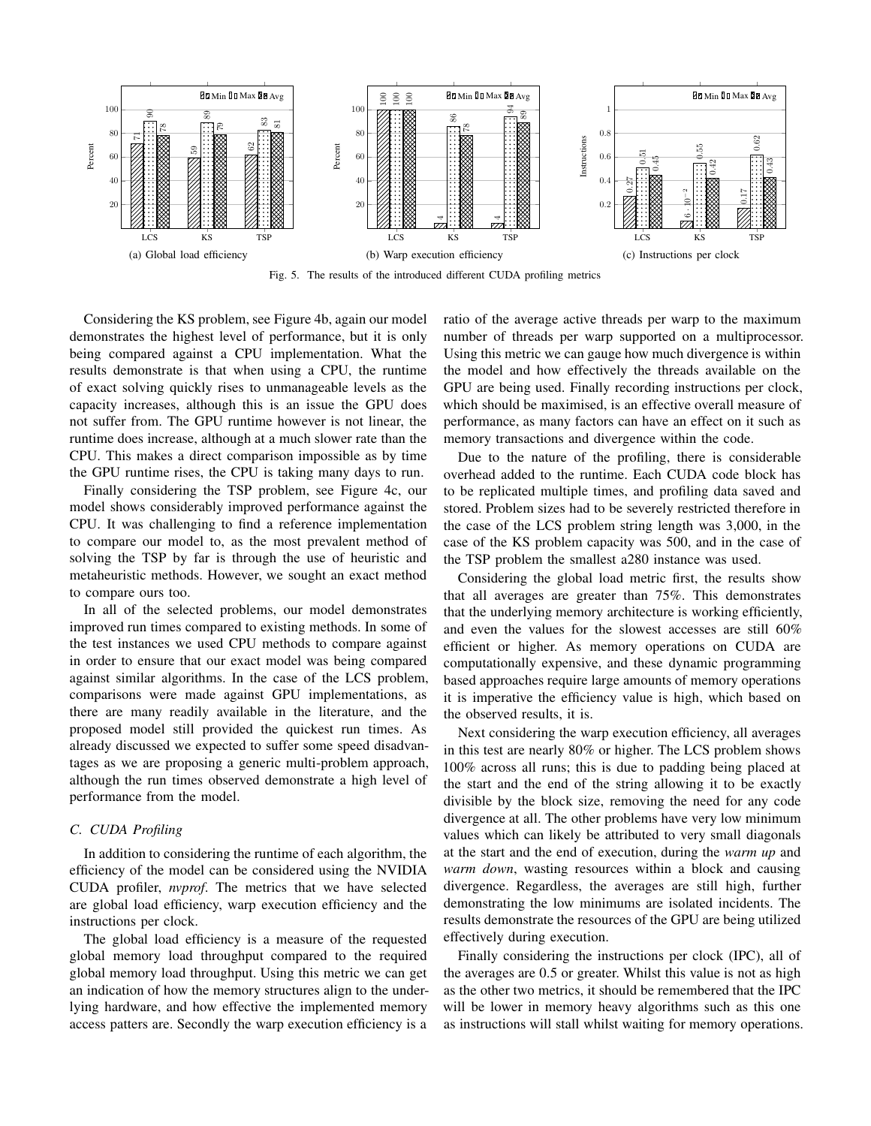

Fig. 5. The results of the introduced different CUDA profiling metrics

Considering the KS problem, see Figure 4b, again our model demonstrates the highest level of performance, but it is only being compared against a CPU implementation. What the results demonstrate is that when using a CPU, the runtime of exact solving quickly rises to unmanageable levels as the capacity increases, although this is an issue the GPU does not suffer from. The GPU runtime however is not linear, the runtime does increase, although at a much slower rate than the CPU. This makes a direct comparison impossible as by time the GPU runtime rises, the CPU is taking many days to run.

Finally considering the TSP problem, see Figure 4c, our model shows considerably improved performance against the CPU. It was challenging to find a reference implementation to compare our model to, as the most prevalent method of solving the TSP by far is through the use of heuristic and metaheuristic methods. However, we sought an exact method to compare ours too.

In all of the selected problems, our model demonstrates improved run times compared to existing methods. In some of the test instances we used CPU methods to compare against in order to ensure that our exact model was being compared against similar algorithms. In the case of the LCS problem, comparisons were made against GPU implementations, as there are many readily available in the literature, and the proposed model still provided the quickest run times. As already discussed we expected to suffer some speed disadvantages as we are proposing a generic multi-problem approach, although the run times observed demonstrate a high level of performance from the model.

# *C. CUDA Profiling*

In addition to considering the runtime of each algorithm, the efficiency of the model can be considered using the NVIDIA CUDA profiler, *nvprof*. The metrics that we have selected are global load efficiency, warp execution efficiency and the instructions per clock.

The global load efficiency is a measure of the requested global memory load throughput compared to the required global memory load throughput. Using this metric we can get an indication of how the memory structures align to the underlying hardware, and how effective the implemented memory access patters are. Secondly the warp execution efficiency is a

ratio of the average active threads per warp to the maximum number of threads per warp supported on a multiprocessor. Using this metric we can gauge how much divergence is within the model and how effectively the threads available on the GPU are being used. Finally recording instructions per clock, which should be maximised, is an effective overall measure of performance, as many factors can have an effect on it such as memory transactions and divergence within the code.

Due to the nature of the profiling, there is considerable overhead added to the runtime. Each CUDA code block has to be replicated multiple times, and profiling data saved and stored. Problem sizes had to be severely restricted therefore in the case of the LCS problem string length was 3,000, in the case of the KS problem capacity was 500, and in the case of the TSP problem the smallest a280 instance was used.

Considering the global load metric first, the results show that all averages are greater than 75%. This demonstrates that the underlying memory architecture is working efficiently, and even the values for the slowest accesses are still 60% efficient or higher. As memory operations on CUDA are computationally expensive, and these dynamic programming based approaches require large amounts of memory operations it is imperative the efficiency value is high, which based on the observed results, it is.

Next considering the warp execution efficiency, all averages in this test are nearly 80% or higher. The LCS problem shows 100% across all runs; this is due to padding being placed at the start and the end of the string allowing it to be exactly divisible by the block size, removing the need for any code divergence at all. The other problems have very low minimum values which can likely be attributed to very small diagonals at the start and the end of execution, during the *warm up* and *warm down*, wasting resources within a block and causing divergence. Regardless, the averages are still high, further demonstrating the low minimums are isolated incidents. The results demonstrate the resources of the GPU are being utilized effectively during execution.

Finally considering the instructions per clock (IPC), all of the averages are 0.5 or greater. Whilst this value is not as high as the other two metrics, it should be remembered that the IPC will be lower in memory heavy algorithms such as this one as instructions will stall whilst waiting for memory operations.